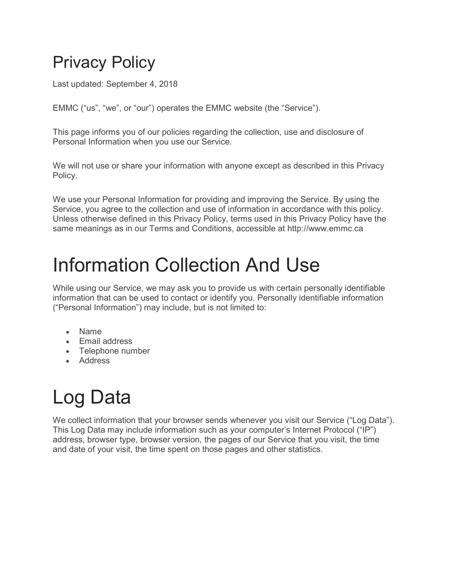#### Privacy Policy

Last updated: September 4, 2018

EMMC ("us", "we", or "our") operates the EMMC website (the "Service").

This page informs you of our policies regarding the collection, use and disclosure of Personal Information when you use our Service.

We will not use or share your information with anyone except as described in this Privacy Policy.

We use your Personal Information for providing and improving the Service. By using the Service, you agree to the collection and use of information in accordance with this policy. Unless otherwise defined in this Privacy Policy, terms used in this Privacy Policy have the same meanings as in our Terms and Conditions, accessible at http://www.emmc.ca

#### Information Collection And Use

While using our Service, we may ask you to provide us with certain personally identifiable information that can be used to contact or identify you. Personally identifiable information ("Personal Information") may include, but is not limited to:

- Name
- Email address
- Telephone number
- Address

# Log Data

We collect information that your browser sends whenever you visit our Service ("Log Data"). This Log Data may include information such as your computer's Internet Protocol ("IP") address, browser type, browser version, the pages of our Service that you visit, the time and date of your visit, the time spent on those pages and other statistics.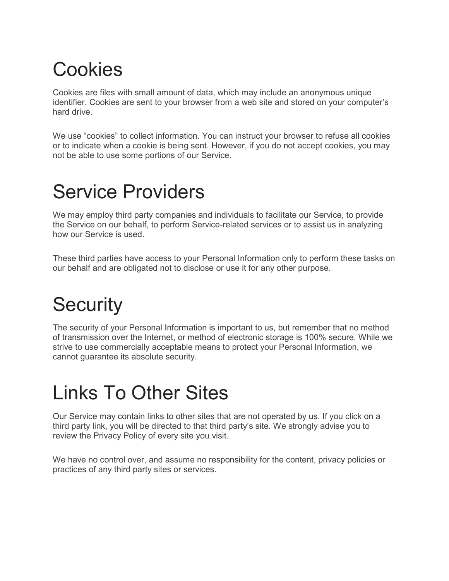### Cookies

Cookies are files with small amount of data, which may include an anonymous unique identifier. Cookies are sent to your browser from a web site and stored on your computer's hard drive.

We use "cookies" to collect information. You can instruct your browser to refuse all cookies or to indicate when a cookie is being sent. However, if you do not accept cookies, you may not be able to use some portions of our Service.

#### Service Providers

We may employ third party companies and individuals to facilitate our Service, to provide the Service on our behalf, to perform Service-related services or to assist us in analyzing how our Service is used.

These third parties have access to your Personal Information only to perform these tasks on our behalf and are obligated not to disclose or use it for any other purpose.

## **Security**

The security of your Personal Information is important to us, but remember that no method of transmission over the Internet, or method of electronic storage is 100% secure. While we strive to use commercially acceptable means to protect your Personal Information, we cannot guarantee its absolute security.

#### Links To Other Sites

Our Service may contain links to other sites that are not operated by us. If you click on a third party link, you will be directed to that third party's site. We strongly advise you to review the Privacy Policy of every site you visit.

We have no control over, and assume no responsibility for the content, privacy policies or practices of any third party sites or services.